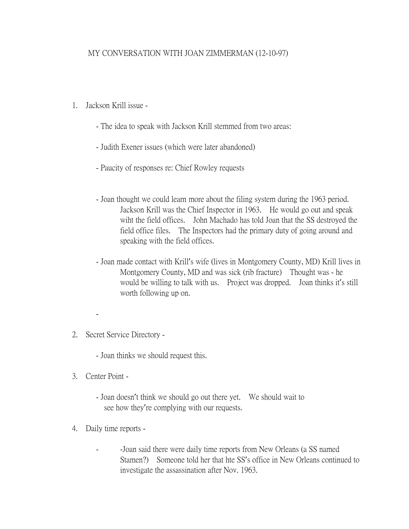## MY CONVERSATION WITH JOAN ZIMMERMAN (12-10-97)

- 1. Jackson Krill issue
	- The idea to speak with Jackson Krill stemmed from two areas:
	- Judith Exener issues (which were later abandoned)
	- Paucity of responses re: Chief Rowley requests
	- Joan thought we could learn more about the filing system during the 1963 period. Jackson Krill was the Chief Inspector in 1963. He would go out and speak wiht the field offices. John Machado has told Joan that the SS destroyed the field office files. The Inspectors had the primary duty of going around and speaking with the field offices.
	- Joan made contact with Krill's wife (lives in Montgomery County, MD) Krill lives in Montgomery County, MD and was sick (rib fracture) Thought was - he would be willing to talk with us. Project was dropped. Joan thinks it's still worth following up on.
- 2. Secret Service Directory
	- Joan thinks we should request this.
- 3. Center Point -

-

- Joan doesn't think we should go out there yet. We should wait to see how they're complying with our requests.
- 4. Daily time reports
	- -Joan said there were daily time reports from New Orleans (a SS named Stamen?) Someone told her that hte SS's office in New Orleans continued to investigate the assassination after Nov. 1963.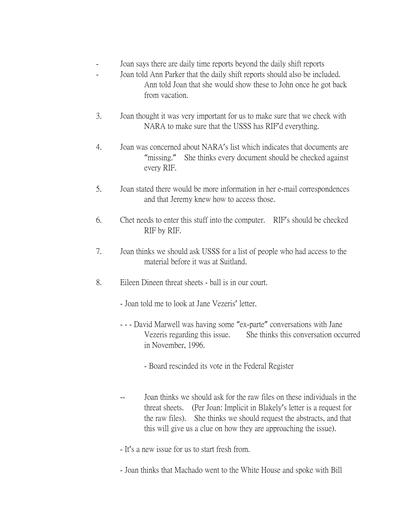- Joan says there are daily time reports beyond the daily shift reports
- Joan told Ann Parker that the daily shift reports should also be included. Ann told Joan that she would show these to John once he got back from vacation.
- 3. Joan thought it was very important for us to make sure that we check with NARA to make sure that the USSS has RIF'd everything.
- 4. Joan was concerned about NARA's list which indicates that documents are "missing." She thinks every document should be checked against every RIF.
- 5. Joan stated there would be more information in her e-mail correspondences and that Jeremy knew how to access those.
- 6. Chet needs to enter this stuff into the computer. RIF's should be checked RIF by RIF.
- 7. Joan thinks we should ask USSS for a list of people who had access to the material before it was at Suitland.
- 8. Eileen Dineen threat sheets ball is in our court.
	- Joan told me to look at Jane Vezeris' letter.
	- - David Marwell was having some "ex-parte" conversations with Jane Vezeris regarding this issue. She thinks this conversation occurred in November, 1996.
		- Board rescinded its vote in the Federal Register
	- -- Joan thinks we should ask for the raw files on these individuals in the threat sheets. (Per Joan: Implicit in Blakely's letter is a request for the raw files). She thinks we should request the abstracts, and that this will give us a clue on how they are approaching the issue).
	- It's a new issue for us to start fresh from.
	- Joan thinks that Machado went to the White House and spoke with Bill